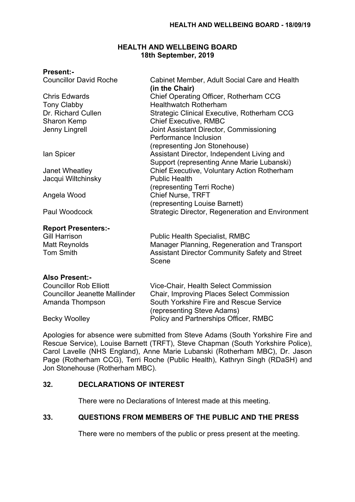# **HEALTH AND WELLBEING BOARD 18th September, 2019**

# **Present:-**

| <b>Councillor David Roche</b> | Cabinet Member, Adult Social Care and Health          |  |  |
|-------------------------------|-------------------------------------------------------|--|--|
|                               | (in the Chair)                                        |  |  |
| <b>Chris Edwards</b>          | Chief Operating Officer, Rotherham CCG                |  |  |
| <b>Tony Clabby</b>            | <b>Healthwatch Rotherham</b>                          |  |  |
| Dr. Richard Cullen            | <b>Strategic Clinical Executive, Rotherham CCG</b>    |  |  |
| Sharon Kemp                   | <b>Chief Executive, RMBC</b>                          |  |  |
| Jenny Lingrell                | Joint Assistant Director, Commissioning               |  |  |
|                               | Performance Inclusion                                 |  |  |
|                               | (representing Jon Stonehouse)                         |  |  |
| lan Spicer                    | Assistant Director, Independent Living and            |  |  |
|                               | Support (representing Anne Marie Lubanski)            |  |  |
| Janet Wheatley                | Chief Executive, Voluntary Action Rotherham           |  |  |
| Jacqui Wiltchinsky            | <b>Public Health</b>                                  |  |  |
|                               | (representing Terri Roche)                            |  |  |
| Angela Wood                   | <b>Chief Nurse, TRFT</b>                              |  |  |
|                               | (representing Louise Barnett)                         |  |  |
| Paul Woodcock                 | Strategic Director, Regeneration and Environment      |  |  |
| <b>Report Presenters:-</b>    |                                                       |  |  |
| <b>Gill Harrison</b>          | <b>Public Health Specialist, RMBC</b>                 |  |  |
| <b>Matt Reynolds</b>          | Manager Planning, Regeneration and Transport          |  |  |
| <b>Tom Smith</b>              | <b>Assistant Director Community Safety and Street</b> |  |  |
|                               | Scene                                                 |  |  |
| <b>Also Present:-</b>         |                                                       |  |  |
| <b>Councillor Rob Elliott</b> | Vice-Chair, Health Select Commission                  |  |  |
|                               |                                                       |  |  |

| <b>OUGHOMOF RUD LINUX</b>            | <u>VIUC ONUM, FICUM OCICOL OOMININOUDIT</u>      |  |  |
|--------------------------------------|--------------------------------------------------|--|--|
| <b>Councillor Jeanette Mallinder</b> | <b>Chair, Improving Places Select Commission</b> |  |  |
| Amanda Thompson                      | South Yorkshire Fire and Rescue Service          |  |  |
|                                      | (representing Steve Adams)                       |  |  |
| <b>Becky Woolley</b>                 | Policy and Partnerships Officer, RMBC            |  |  |

Apologies for absence were submitted from Steve Adams (South Yorkshire Fire and Rescue Service), Louise Barnett (TRFT), Steve Chapman (South Yorkshire Police), Carol Lavelle (NHS England), Anne Marie Lubanski (Rotherham MBC), Dr. Jason Page (Rotherham CCG), Terri Roche (Public Health), Kathryn Singh (RDaSH) and Jon Stonehouse (Rotherham MBC).

# **32. DECLARATIONS OF INTEREST**

There were no Declarations of Interest made at this meeting.

# **33. QUESTIONS FROM MEMBERS OF THE PUBLIC AND THE PRESS**

There were no members of the public or press present at the meeting.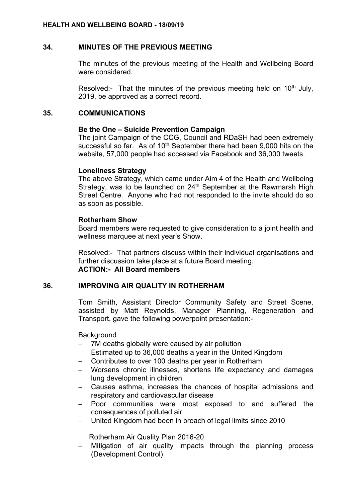# **34. MINUTES OF THE PREVIOUS MEETING**

The minutes of the previous meeting of the Health and Wellbeing Board were considered.

Resolved:- That the minutes of the previous meeting held on  $10<sup>th</sup>$  July, 2019, be approved as a correct record.

# **35. COMMUNICATIONS**

# **Be the One – Suicide Prevention Campaign**

The joint Campaign of the CCG, Council and RDaSH had been extremely successful so far. As of  $10<sup>th</sup>$  September there had been 9,000 hits on the website, 57,000 people had accessed via Facebook and 36,000 tweets.

# **Loneliness Strategy**

The above Strategy, which came under Aim 4 of the Health and Wellbeing Strategy, was to be launched on 24<sup>th</sup> September at the Rawmarsh High Street Centre. Anyone who had not responded to the invite should do so as soon as possible.

# **Rotherham Show**

Board members were requested to give consideration to a joint health and wellness marquee at next year's Show.

Resolved:- That partners discuss within their individual organisations and further discussion take place at a future Board meeting. **ACTION:- All Board members**

# **36. IMPROVING AIR QUALITY IN ROTHERHAM**

Tom Smith, Assistant Director Community Safety and Street Scene, assisted by Matt Reynolds, Manager Planning, Regeneration and Transport, gave the following powerpoint presentation:-

**Background** 

- 7M deaths globally were caused by air pollution
- Estimated up to 36,000 deaths a year in the United Kingdom
- Contributes to over 100 deaths per year in Rotherham
- Worsens chronic illnesses, shortens life expectancy and damages lung development in children
- Causes asthma, increases the chances of hospital admissions and respiratory and cardiovascular disease
- Poor communities were most exposed to and suffered the consequences of polluted air
- United Kingdom had been in breach of legal limits since 2010

Rotherham Air Quality Plan 2016-20

- Mitigation of air quality impacts through the planning process (Development Control)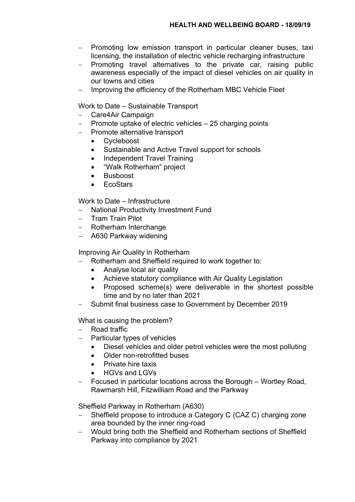- Promoting low emission transport in particular cleaner buses, taxi licensing, the installation of electric vehicle recharging infrastructure
- $-$  Promoting travel alternatives to the private car, raising public awareness especially of the impact of diesel vehicles on air quality in our towns and cities
- Improving the efficiency of the Rotherham MBC Vehicle Fleet

Work to Date – Sustainable Transport

- Care4Air Campaign
- Promote uptake of electric vehicles 25 charging points
- Promote alternative transport
	- Cycleboost
	- Sustainable and Active Travel support for schools
	- Independent Travel Training
	- "Walk Rotherham" project
	- Busboost
	- EcoStars

Work to Date – Infrastructure

- National Productivity Investment Fund
- Tram Train Pilot
- Rotherham Interchange
- A630 Parkway widening

Improving Air Quality in Rotherham

- Rotherham and Sheffield required to work together to:
	- Analyse local air quality
	- Achieve statutory compliance with Air Quality Legislation
	- Proposed scheme(s) were deliverable in the shortest possible time and by no later than 2021
- Submit final business case to Government by December 2019

What is causing the problem?

- Road traffic
- Particular types of vehicles
	- Diesel vehicles and older petrol vehicles were the most polluting
	- Older non-retrofitted buses
	- Private hire taxis
	- HGVs and LGVs
- Focused in particular locations across the Borough Wortley Road, Rawmarsh Hill, Fitzwilliam Road and the Parkway

Sheffield Parkway in Rotherham (A630)

- Sheffield propose to introduce a Category C (CAZ C) charging zone area bounded by the inner ring-road
- Would bring both the Sheffield and Rotherham sections of Sheffield Parkway into compliance by 2021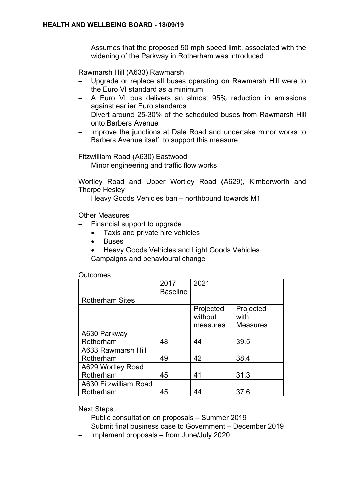Assumes that the proposed 50 mph speed limit, associated with the widening of the Parkway in Rotherham was introduced

Rawmarsh Hill (A633) Rawmarsh

- Upgrade or replace all buses operating on Rawmarsh Hill were to the Euro VI standard as a minimum
- A Euro VI bus delivers an almost 95% reduction in emissions against earlier Euro standards
- Divert around 25-30% of the scheduled buses from Rawmarsh Hill onto Barbers Avenue
- Improve the junctions at Dale Road and undertake minor works to Barbers Avenue itself, to support this measure

Fitzwilliam Road (A630) Eastwood

Minor engineering and traffic flow works

Wortley Road and Upper Wortley Road (A629), Kimberworth and Thorpe Hesley

- Heavy Goods Vehicles ban - northbound towards M1

Other Measures

- Financial support to upgrade
	- Taxis and private hire vehicles
	- **Buses**
	- Heavy Goods Vehicles and Light Goods Vehicles
- Campaigns and behavioural change

**Outcomes** 

|                        | 2017<br><b>Baseline</b> | 2021                             |                                      |
|------------------------|-------------------------|----------------------------------|--------------------------------------|
| <b>Rotherham Sites</b> |                         |                                  |                                      |
|                        |                         | Projected<br>without<br>measures | Projected<br>with<br><b>Measures</b> |
| A630 Parkway           |                         |                                  |                                      |
| Rotherham              | 48                      | 44                               | 39.5                                 |
| A633 Rawmarsh Hill     |                         |                                  |                                      |
| Rotherham              | 49                      | 42                               | 38.4                                 |
| A629 Wortley Road      |                         |                                  |                                      |
| Rotherham              | 45                      | 41                               | 31.3                                 |
| A630 Fitzwilliam Road  |                         |                                  |                                      |
| Rotherham              | 45                      |                                  | 37.6                                 |

Next Steps

- Public consultation on proposals Summer 2019
- Submit final business case to Government December 2019
- Implement proposals from June/July 2020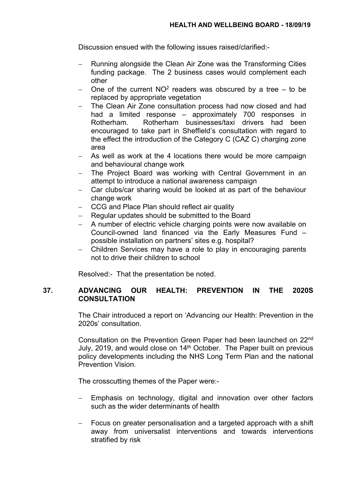Discussion ensued with the following issues raised/clarified:-

- Running alongside the Clean Air Zone was the Transforming Cities funding package. The 2 business cases would complement each other
- One of the current  $NO^2$  readers was obscured by a tree  $-$  to be replaced by appropriate vegetation
- The Clean Air Zone consultation process had now closed and had had a limited response – approximately 700 responses in Rotherham. Rotherham businesses/taxi drivers had been encouraged to take part in Sheffield's consultation with regard to the effect the introduction of the Category C (CAZ C) charging zone area
- As well as work at the 4 locations there would be more campaign and behavioural change work
- The Project Board was working with Central Government in an attempt to introduce a national awareness campaign
- Car clubs/car sharing would be looked at as part of the behaviour change work
- CCG and Place Plan should reflect air quality
- Regular updates should be submitted to the Board
- A number of electric vehicle charging points were now available on Council-owned land financed via the Early Measures Fund – possible installation on partners' sites e.g. hospital?
- Children Services may have a role to play in encouraging parents not to drive their children to school

Resolved:- That the presentation be noted.

# **37. ADVANCING OUR HEALTH: PREVENTION IN THE 2020S CONSULTATION**

The Chair introduced a report on 'Advancing our Health: Prevention in the 2020s' consultation.

Consultation on the Prevention Green Paper had been launched on 22nd July, 2019, and would close on 14<sup>th</sup> October. The Paper built on previous policy developments including the NHS Long Term Plan and the national Prevention Vision.

The crosscutting themes of the Paper were:-

- Emphasis on technology, digital and innovation over other factors such as the wider determinants of health
- Focus on greater personalisation and a targeted approach with a shift away from universalist interventions and towards interventions stratified by risk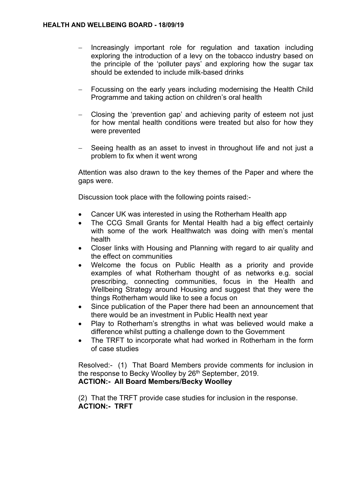- Increasingly important role for regulation and taxation including exploring the introduction of a levy on the tobacco industry based on the principle of the 'polluter pays' and exploring how the sugar tax should be extended to include milk-based drinks
- Focussing on the early years including modernising the Health Child Programme and taking action on children's oral health
- Closing the 'prevention gap' and achieving parity of esteem not just for how mental health conditions were treated but also for how they were prevented
- Seeing health as an asset to invest in throughout life and not just a problem to fix when it went wrong

Attention was also drawn to the key themes of the Paper and where the gaps were.

Discussion took place with the following points raised:-

- Cancer UK was interested in using the Rotherham Health app
- The CCG Small Grants for Mental Health had a big effect certainly with some of the work Healthwatch was doing with men's mental health
- Closer links with Housing and Planning with regard to air quality and the effect on communities
- Welcome the focus on Public Health as a priority and provide examples of what Rotherham thought of as networks e.g. social prescribing, connecting communities, focus in the Health and Wellbeing Strategy around Housing and suggest that they were the things Rotherham would like to see a focus on
- Since publication of the Paper there had been an announcement that there would be an investment in Public Health next year
- Play to Rotherham's strengths in what was believed would make a difference whilst putting a challenge down to the Government
- The TRFT to incorporate what had worked in Rotherham in the form of case studies

Resolved:- (1) That Board Members provide comments for inclusion in the response to Becky Woolley by 26<sup>th</sup> September, 2019. **ACTION:- All Board Members/Becky Woolley**

(2) That the TRFT provide case studies for inclusion in the response. **ACTION:- TRFT**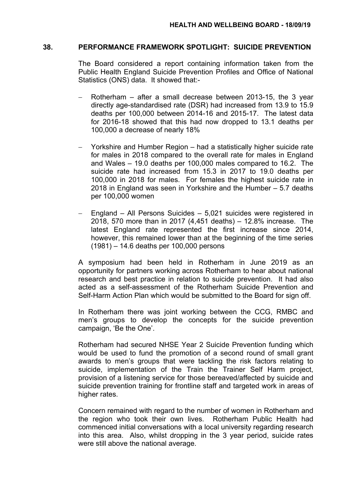#### **38. PERFORMANCE FRAMEWORK SPOTLIGHT: SUICIDE PREVENTION**

The Board considered a report containing information taken from the Public Health England Suicide Prevention Profiles and Office of National Statistics (ONS) data. It showed that:-

- Rotherham after a small decrease between 2013-15, the 3 year directly age-standardised rate (DSR) had increased from 13.9 to 15.9 deaths per 100,000 between 2014-16 and 2015-17. The latest data for 2016-18 showed that this had now dropped to 13.1 deaths per 100,000 a decrease of nearly 18%
- Yorkshire and Humber Region had a statistically higher suicide rate for males in 2018 compared to the overall rate for males in England and Wales – 19.0 deaths per 100,000 males compared to 16.2. The suicide rate had increased from 15.3 in 2017 to 19.0 deaths per 100,000 in 2018 for males. For females the highest suicide rate in 2018 in England was seen in Yorkshire and the Humber – 5.7 deaths per 100,000 women
- England All Persons Suicides 5,021 suicides were registered in 2018, 570 more than in 2017 (4,451 deaths) – 12.8% increase. The latest England rate represented the first increase since 2014, however, this remained lower than at the beginning of the time series (1981) – 14.6 deaths per 100,000 persons

A symposium had been held in Rotherham in June 2019 as an opportunity for partners working across Rotherham to hear about national research and best practice in relation to suicide prevention. It had also acted as a self-assessment of the Rotherham Suicide Prevention and Self-Harm Action Plan which would be submitted to the Board for sign off.

In Rotherham there was joint working between the CCG, RMBC and men's groups to develop the concepts for the suicide prevention campaign, 'Be the One'.

Rotherham had secured NHSE Year 2 Suicide Prevention funding which would be used to fund the promotion of a second round of small grant awards to men's groups that were tackling the risk factors relating to suicide, implementation of the Train the Trainer Self Harm project, provision of a listening service for those bereaved/affected by suicide and suicide prevention training for frontline staff and targeted work in areas of higher rates.

Concern remained with regard to the number of women in Rotherham and the region who took their own lives. Rotherham Public Health had commenced initial conversations with a local university regarding research into this area. Also, whilst dropping in the 3 year period, suicide rates were still above the national average.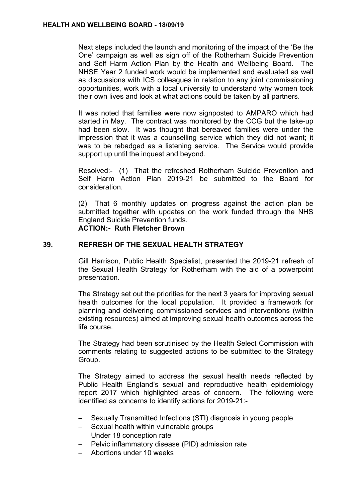Next steps included the launch and monitoring of the impact of the 'Be the One' campaign as well as sign off of the Rotherham Suicide Prevention and Self Harm Action Plan by the Health and Wellbeing Board. The NHSE Year 2 funded work would be implemented and evaluated as well as discussions with ICS colleagues in relation to any joint commissioning opportunities, work with a local university to understand why women took their own lives and look at what actions could be taken by all partners.

It was noted that families were now signposted to AMPARO which had started in May. The contract was monitored by the CCG but the take-up had been slow. It was thought that bereaved families were under the impression that it was a counselling service which they did not want; it was to be rebadged as a listening service. The Service would provide support up until the inquest and beyond.

Resolved:- (1) That the refreshed Rotherham Suicide Prevention and Self Harm Action Plan 2019-21 be submitted to the Board for consideration.

(2) That 6 monthly updates on progress against the action plan be submitted together with updates on the work funded through the NHS England Suicide Prevention funds. **ACTION:- Ruth Fletcher Brown**

## **39. REFRESH OF THE SEXUAL HEALTH STRATEGY**

Gill Harrison, Public Health Specialist, presented the 2019-21 refresh of the Sexual Health Strategy for Rotherham with the aid of a powerpoint presentation.

The Strategy set out the priorities for the next 3 years for improving sexual health outcomes for the local population. It provided a framework for planning and delivering commissioned services and interventions (within existing resources) aimed at improving sexual health outcomes across the life course.

The Strategy had been scrutinised by the Health Select Commission with comments relating to suggested actions to be submitted to the Strategy Group.

The Strategy aimed to address the sexual health needs reflected by Public Health England's sexual and reproductive health epidemiology report 2017 which highlighted areas of concern. The following were identified as concerns to identify actions for 2019-21:-

- Sexually Transmitted Infections (STI) diagnosis in young people
- Sexual health within vulnerable groups
- Under 18 conception rate
- Pelvic inflammatory disease (PID) admission rate
- Abortions under 10 weeks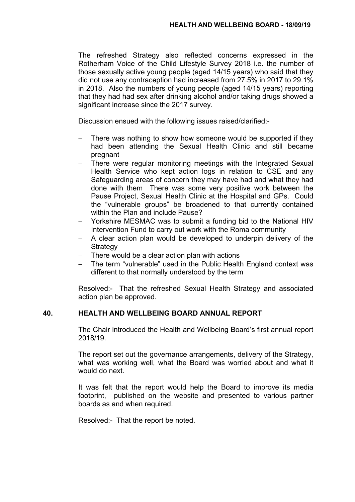The refreshed Strategy also reflected concerns expressed in the Rotherham Voice of the Child Lifestyle Survey 2018 i.e. the number of those sexually active young people (aged 14/15 years) who said that they did not use any contraception had increased from 27.5% in 2017 to 29.1% in 2018. Also the numbers of young people (aged 14/15 years) reporting that they had had sex after drinking alcohol and/or taking drugs showed a significant increase since the 2017 survey.

Discussion ensued with the following issues raised/clarified:-

- There was nothing to show how someone would be supported if they had been attending the Sexual Health Clinic and still became pregnant
- There were regular monitoring meetings with the Integrated Sexual Health Service who kept action logs in relation to CSE and any Safeguarding areas of concern they may have had and what they had done with them There was some very positive work between the Pause Project, Sexual Health Clinic at the Hospital and GPs. Could the "vulnerable groups" be broadened to that currently contained within the Plan and include Pause?
- Yorkshire MESMAC was to submit a funding bid to the National HIV Intervention Fund to carry out work with the Roma community
- $-$  A clear action plan would be developed to underpin delivery of the **Strategy**
- There would be a clear action plan with actions
- The term "vulnerable" used in the Public Health England context was different to that normally understood by the term

Resolved:- That the refreshed Sexual Health Strategy and associated action plan be approved.

# **40. HEALTH AND WELLBEING BOARD ANNUAL REPORT**

The Chair introduced the Health and Wellbeing Board's first annual report 2018/19.

The report set out the governance arrangements, delivery of the Strategy, what was working well, what the Board was worried about and what it would do next.

It was felt that the report would help the Board to improve its media footprint, published on the website and presented to various partner boards as and when required.

Resolved:- That the report be noted.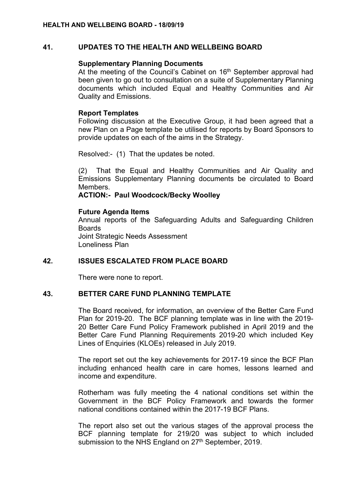# **41. UPDATES TO THE HEALTH AND WELLBEING BOARD**

# **Supplementary Planning Documents**

At the meeting of the Council's Cabinet on 16<sup>th</sup> September approval had been given to go out to consultation on a suite of Supplementary Planning documents which included Equal and Healthy Communities and Air Quality and Emissions.

# **Report Templates**

Following discussion at the Executive Group, it had been agreed that a new Plan on a Page template be utilised for reports by Board Sponsors to provide updates on each of the aims in the Strategy.

Resolved:- (1) That the updates be noted.

(2) That the Equal and Healthy Communities and Air Quality and Emissions Supplementary Planning documents be circulated to Board Members.

# **ACTION:- Paul Woodcock/Becky Woolley**

## **Future Agenda Items**

Annual reports of the Safeguarding Adults and Safeguarding Children Boards Joint Strategic Needs Assessment Loneliness Plan

## **42. ISSUES ESCALATED FROM PLACE BOARD**

There were none to report.

## **43. BETTER CARE FUND PLANNING TEMPLATE**

The Board received, for information, an overview of the Better Care Fund Plan for 2019-20. The BCF planning template was in line with the 2019- 20 Better Care Fund Policy Framework published in April 2019 and the Better Care Fund Planning Requirements 2019-20 which included Key Lines of Enquiries (KLOEs) released in July 2019.

The report set out the key achievements for 2017-19 since the BCF Plan including enhanced health care in care homes, lessons learned and income and expenditure.

Rotherham was fully meeting the 4 national conditions set within the Government in the BCF Policy Framework and towards the former national conditions contained within the 2017-19 BCF Plans.

The report also set out the various stages of the approval process the BCF planning template for 219/20 was subject to which included submission to the NHS England on 27<sup>th</sup> September, 2019.